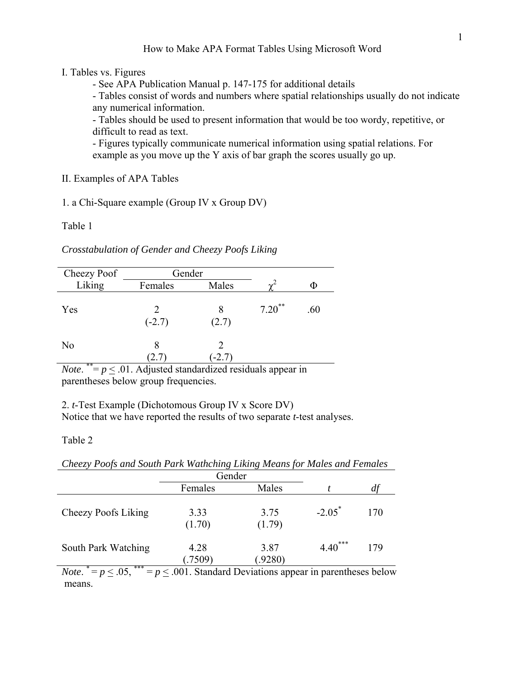### I. Tables vs. Figures

- See APA Publication Manual p. 147-175 for additional details

- Tables consist of words and numbers where spatial relationships usually do not indicate any numerical information.

- Tables should be used to present information that would be too wordy, repetitive, or difficult to read as text.

- Figures typically communicate numerical information using spatial relations. For example as you move up the Y axis of bar graph the scores usually go up.

II. Examples of APA Tables

1. a Chi-Square example (Group IV x Group DV)

Table 1

*Crosstabulation of Gender and Cheezy Poofs Liking*

| Cheezy Poof          | Gender    |            |           |     |
|----------------------|-----------|------------|-----------|-----|
| Liking               | Females   | Males      | $\sim$    | Ф   |
| Yes                  | $(-2.7)$  | 8<br>(2.7) | $7.20$ ** | .60 |
| N <sub>0</sub><br>** | 8<br>2. I | $-2.7$     |           |     |

*Note*.  $* = p < 0.01$ . Adjusted standardized residuals appear in parentheses below group frequencies.

2. *t*-Test Example (Dichotomous Group IV x Score DV) Notice that we have reported the results of two separate *t*-test analyses.

### Table 2

*Cheezy Poofs and South Park Wathching Liking Means for Males and Females* 

|                | Gender         |                         |        |
|----------------|----------------|-------------------------|--------|
| Females        | Males          |                         | df     |
| 3.33<br>(1.70) | 3.75<br>(1.79) | $-2.05^*$               | 170    |
| 4.28<br>(7509) | 3.87<br>(9280) | ***<br>$4.40^{\degree}$ | 179    |
|                |                | $\sim$                  | $\sim$ |

*Note*.  $^* = p \leq .05$ ,  $^{***} = p \leq .001$ . Standard Deviations appear in parentheses below means.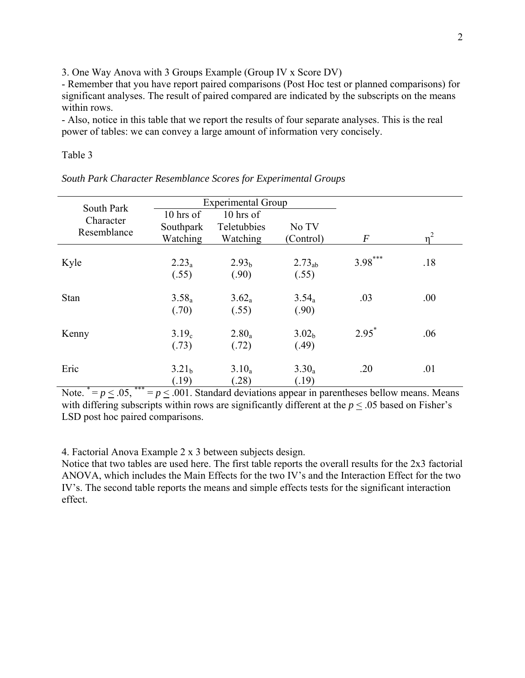3. One Way Anova with 3 Groups Example (Group IV x Score DV)

- Remember that you have report paired comparisons (Post Hoc test or planned comparisons) for significant analyses. The result of paired compared are indicated by the subscripts on the means within rows.

- Also, notice in this table that we report the results of four separate analyses. This is the real power of tables: we can convey a large amount of information very concisely.

### Table 3

| South Park  |                   | <b>Experimental Group</b> |                   |                  |       |
|-------------|-------------------|---------------------------|-------------------|------------------|-------|
| Character   | 10 hrs of         | 10 hrs of                 |                   |                  |       |
| Resemblance | Southpark         | Teletubbies               | No TV             |                  |       |
|             | Watching          | Watching                  | (Control)         | $\boldsymbol{F}$ | $n^2$ |
| Kyle        | $2.23_a$          | 2.93 <sub>b</sub>         | $2.73_{ab}$       | $3.98***$        | .18   |
|             | (.55)             | (.90)                     | (.55)             |                  |       |
| Stan        | $3.58_a$          | $3.62_a$                  | $3.54_a$          | .03              | .00   |
|             | (.70)             | (.55)                     | (.90)             |                  |       |
| Kenny       | 3.19 <sub>c</sub> | $2.80_a$                  | 3.02 <sub>b</sub> | $2.95^*$         | .06   |
|             | (.73)             | (.72)                     | (.49)             |                  |       |
| Eric        | 3.21 <sub>b</sub> | $3.10_a$                  | $3.30_a$          | .20              | .01   |
|             | (.19)             | (28)                      | (.19)             |                  |       |

*South Park Character Resemblance Scores for Experimental Groups*

Note.  $^* = p \leq .05$ ,  $^{***} = p \leq .001$ . Standard deviations appear in parentheses bellow means. Means with differing subscripts within rows are significantly different at the  $p \leq 0.05$  based on Fisher's LSD post hoc paired comparisons.

4. Factorial Anova Example 2 x 3 between subjects design.

Notice that two tables are used here. The first table reports the overall results for the 2x3 factorial ANOVA, which includes the Main Effects for the two IV's and the Interaction Effect for the two IV's. The second table reports the means and simple effects tests for the significant interaction effect.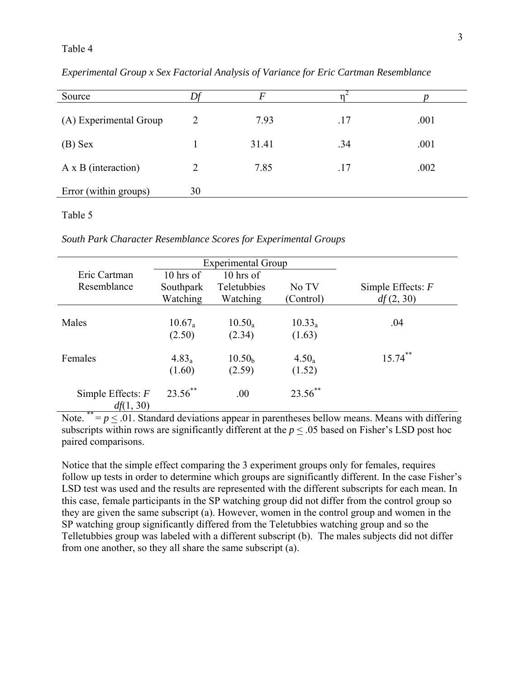### Table 4

| Source                     |    | F     |     |      |
|----------------------------|----|-------|-----|------|
| (A) Experimental Group     | 2  | 7.93  | .17 | .001 |
| $(B)$ Sex                  |    | 31.41 | .34 | .001 |
| $A \times B$ (interaction) | 2  | 7.85  | .17 | .002 |
| Error (within groups)      | 30 |       |     |      |

*Experimental Group x Sex Factorial Analysis of Variance for Eric Cartman Resemblance* 

#### Table 5

*South Park Character Resemblance Scores for Experimental Groups*

|                                  | <b>Experimental Group</b> |                    |            |                     |
|----------------------------------|---------------------------|--------------------|------------|---------------------|
| Eric Cartman                     | $10$ hrs of               | $10$ hrs of        |            |                     |
| Resemblance                      | Southpark                 | Teletubbies        | No TV      | Simple Effects: $F$ |
|                                  | Watching                  | Watching           | (Control)  | df(2, 30)           |
|                                  |                           |                    |            |                     |
| Males                            | $10.67_a$                 | $10.50_a$          | $10.33_a$  | .04                 |
|                                  | (2.50)                    | (2.34)             | (1.63)     |                     |
| Females                          | $4.83_a$                  | 10.50 <sub>b</sub> | $4.50_a$   | $15.74$ **          |
|                                  | (1.60)                    | (2.59)             | (1.52)     |                     |
| Simple Effects: $F$<br>df(1, 30) | $23.56$ **                | .00                | $23.56$ ** |                     |

Note.  $^{**} = p \leq .01$ . Standard deviations appear in parentheses bellow means. Means with differing subscripts within rows are significantly different at the  $p < .05$  based on Fisher's LSD post hoc paired comparisons.

Notice that the simple effect comparing the 3 experiment groups only for females, requires follow up tests in order to determine which groups are significantly different. In the case Fisher's LSD test was used and the results are represented with the different subscripts for each mean. In this case, female participants in the SP watching group did not differ from the control group so they are given the same subscript (a). However, women in the control group and women in the SP watching group significantly differed from the Teletubbies watching group and so the Telletubbies group was labeled with a different subscript (b). The males subjects did not differ from one another, so they all share the same subscript (a).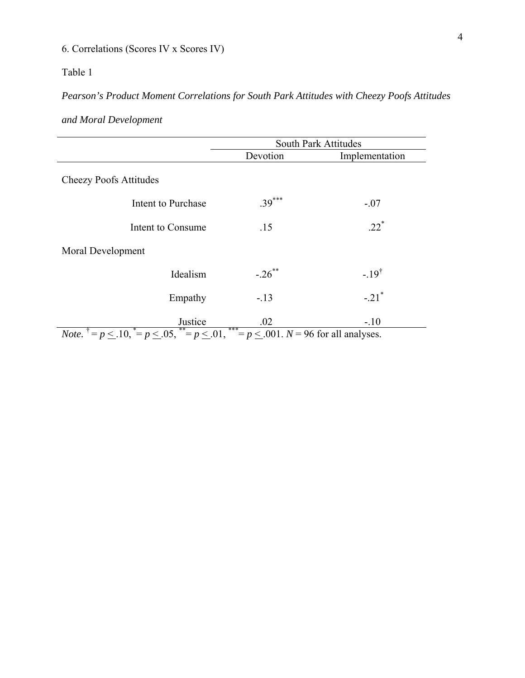# 6. Correlations (Scores IV x Scores IV)

# Table 1

# *Pearson's Product Moment Correlations for South Park Attitudes with Cheezy Poofs Attitudes*

*and Moral Development* 

|                               |                    | <b>South Park Attitudes</b> |                    |  |
|-------------------------------|--------------------|-----------------------------|--------------------|--|
|                               |                    | Devotion                    | Implementation     |  |
| <b>Cheezy Poofs Attitudes</b> |                    |                             |                    |  |
|                               | Intent to Purchase | $.39***$                    | $-.07$             |  |
|                               | Intent to Consume  | .15                         | $.22*$             |  |
| Moral Development             |                    |                             |                    |  |
|                               | Idealism           | $-.26$ <sup>**</sup>        | $-.19^{\dagger}$   |  |
|                               | Empathy            | $-13$                       | $-21$ <sup>*</sup> |  |
|                               | Justice            | .02                         | $-.10$             |  |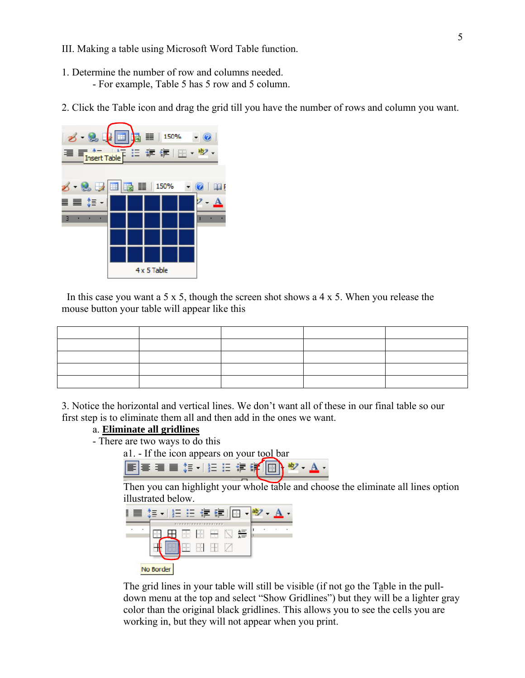- III. Making a table using Microsoft Word Table function.
- 1. Determine the number of row and columns needed. - For example, Table 5 has 5 row and 5 column.
- 2. Click the Table icon and drag the grid till you have the number of rows and column you want.



In this case you want a 5 x 5, though the screen shot shows a 4 x 5. When you release the mouse button your table will appear like this

3. Notice the horizontal and vertical lines. We don't want all of these in our final table so our first step is to eliminate them all and then add in the ones we want.

## a. **Eliminate all gridlines**

- There are two ways to do this

a1. - If the icon appears on your tool bar



Then you can highlight your whole table and choose the eliminate all lines option illustrated below.



The grid lines in your table will still be visible (if not go the Table in the pulldown menu at the top and select "Show Gridlines") but they will be a lighter gray color than the original black gridlines. This allows you to see the cells you are working in, but they will not appear when you print.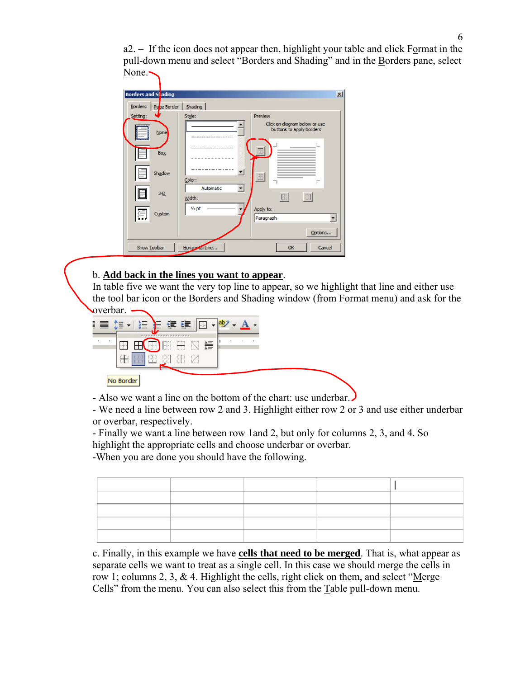a2. – If the icon does not appear then, highlight your table and click Format in the pull-down menu and select "Borders and Shading" and in the Borders pane, select  $None.$ 



## b. **Add back in the lines you want to appear**.

In table five we want the very top line to appear, so we highlight that line and either use the tool bar icon or the Borders and Shading window (from Format menu) and ask for the overbar.



- Also we want a line on the bottom of the chart: use underbar.

- We need a line between row 2 and 3. Highlight either row 2 or 3 and use either underbar or overbar, respectively.

- Finally we want a line between row 1and 2, but only for columns 2, 3, and 4. So highlight the appropriate cells and choose underbar or overbar.

-When you are done you should have the following.

c. Finally, in this example we have **cells that need to be merged**. That is, what appear as separate cells we want to treat as a single cell. In this case we should merge the cells in row 1; columns 2, 3,  $\&$  4. Highlight the cells, right click on them, and select "Merge" Cells" from the menu. You can also select this from the Table pull-down menu.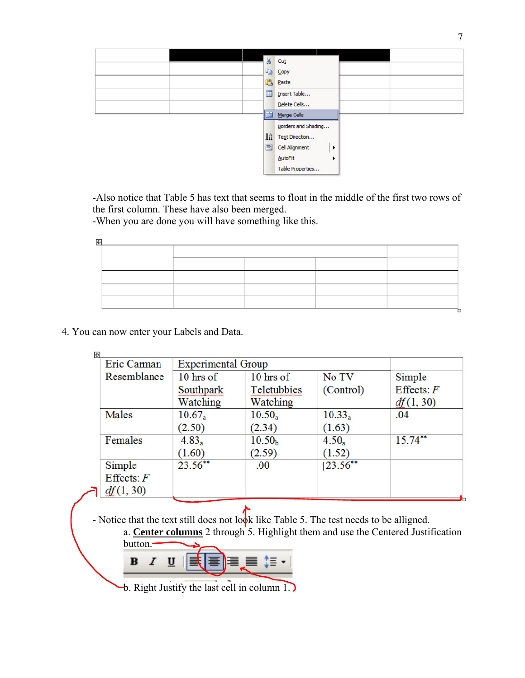

-Also notice that Table 5 has text that seems to float in the middle of the first two rows of the first column. These have also been merged.

-When you are done you will have something like this.

4. You can now enter your Labels and Data.

| Eric Carman                         | <b>Experimental Group</b> |                              |                     |                           |
|-------------------------------------|---------------------------|------------------------------|---------------------|---------------------------|
| Resemblance                         | $10$ hrs of               | $10$ hrs of                  | No TV               | Simple                    |
|                                     | Southpark<br>Watching     | Teletubbies<br>Watching      | (Control)           | Effects: $F$<br>df(1, 30) |
| Males                               | $10.67_a$<br>(2.50)       | $10.50_a$<br>(2.34)          | $10.33_a$<br>(1.63) | .04                       |
| Females                             | $4.83_a$<br>(1.60)        | 10.50 <sub>b</sub><br>(2.59) | $4.50_a$<br>(1.52)  | $15.74***$                |
| Simple<br>Effects: $F$<br>df(1, 30) | $23.56**$                 | .00                          | $ 23.56***$         |                           |

- Notice that the text still does not look like Table 5. The test needs to be alligned.

a. **Center columns** 2 through 5. Highlight them and use the Centered Justification button.



b. Right Justify the last cell in column 1.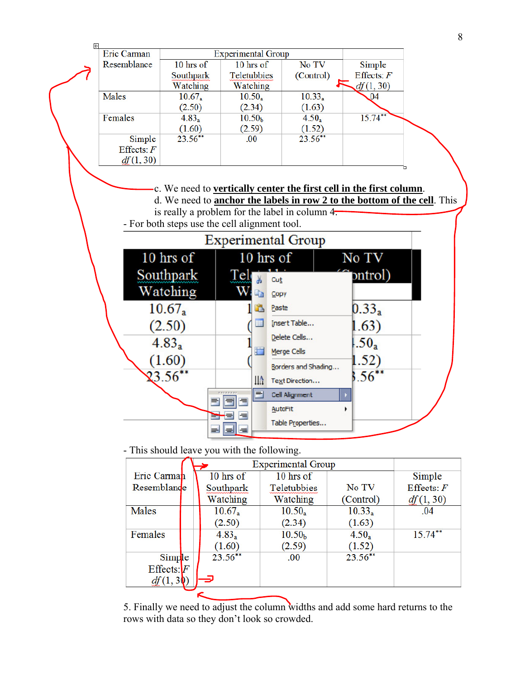

- This should leave you with the following.

|                 | <b>Experimental Group</b> |            |                    |            |              |  |
|-----------------|---------------------------|------------|--------------------|------------|--------------|--|
| Eric Carman     |                           | 10 hrs of  | 10 hrs of          |            | Simple       |  |
| Resemblande     |                           | Southpark  | Teletubbies        | No TV      | Effects: $F$ |  |
|                 |                           | Watching   | Watching           | (Control)  | df(1, 30)    |  |
| Males           |                           | $10.67_a$  | $10.50_a$          | $10.33_a$  | .04          |  |
|                 |                           | (2.50)     | (2.34)             | (1.63)     |              |  |
| Females         |                           | $4.83_a$   | 10.50 <sub>b</sub> | $4.50_a$   | $15.74***$   |  |
|                 |                           | (1.60)     | (2.59)             | (1.52)     |              |  |
| Simple          |                           | $23.56***$ | .00                | $23.56***$ |              |  |
| $E$ ffects: $F$ |                           |            |                    |            |              |  |
| df(1,3)         |                           |            |                    |            |              |  |
|                 |                           |            |                    |            |              |  |

5. Finally we need to adjust the column widths and add some hard returns to the rows with data so they don't look so crowded.